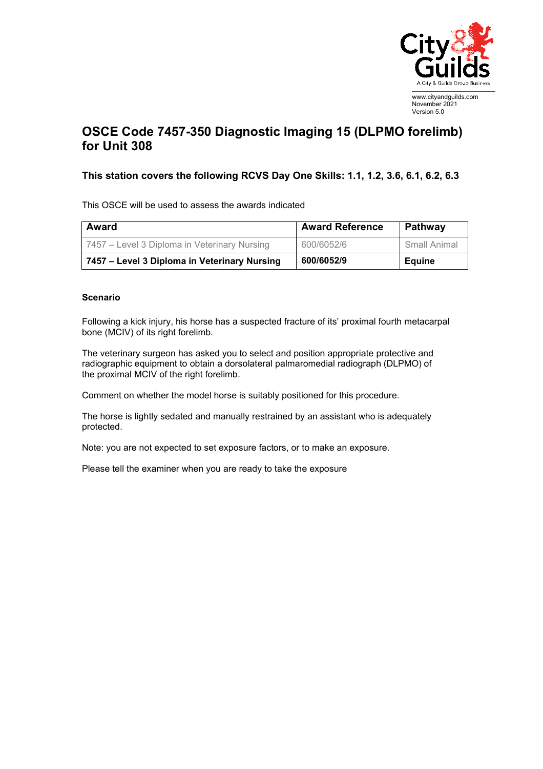

## **OSCE Code 7457-350 Diagnostic Imaging 15 (DLPMO forelimb) for Unit 308**

## **This station covers the following RCVS Day One Skills: 1.1, 1.2, 3.6, 6.1, 6.2, 6.3**

This OSCE will be used to assess the awards indicated

| Award                                        | <b>Award Reference</b> | Pathway      |
|----------------------------------------------|------------------------|--------------|
| 7457 – Level 3 Diploma in Veterinary Nursing | 600/6052/6             | Small Animal |
| 7457 – Level 3 Diploma in Veterinary Nursing | 600/6052/9             | Equine       |

## **Scenario**

Following a kick injury, his horse has a suspected fracture of its' proximal fourth metacarpal bone (MCIV) of its right forelimb.

The veterinary surgeon has asked you to select and position appropriate protective and radiographic equipment to obtain a dorsolateral palmaromedial radiograph (DLPMO) of the proximal MCIV of the right forelimb.

Comment on whether the model horse is suitably positioned for this procedure.

The horse is lightly sedated and manually restrained by an assistant who is adequately protected.

Note: you are not expected to set exposure factors, or to make an exposure.

Please tell the examiner when you are ready to take the exposure